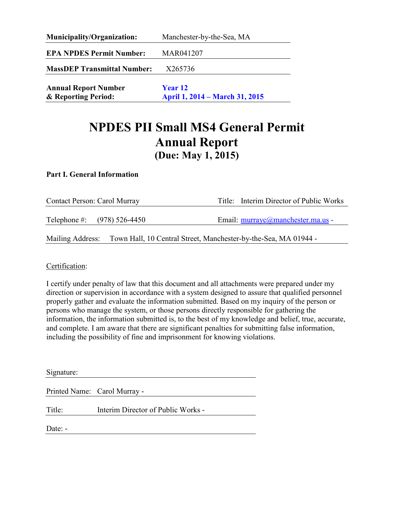| <b>Municipality/Organization:</b>                  | Manchester-by-the-Sea, MA                        |  |  |
|----------------------------------------------------|--------------------------------------------------|--|--|
| <b>EPA NPDES Permit Number:</b>                    | MAR041207                                        |  |  |
| <b>MassDEP Transmittal Number:</b>                 | X265736                                          |  |  |
| <b>Annual Report Number</b><br>& Reporting Period: | <b>Year 12</b><br>April 1, 2014 – March 31, 2015 |  |  |

# **NPDES PII Small MS4 General Permit Annual Report (Due: May 1, 2015)**

#### **Part I. General Information**

| Contact Person: Carol Murray  | Title: Interim Director of Public Works                                          |
|-------------------------------|----------------------------------------------------------------------------------|
| Telephone #: $(978) 526-4450$ | Email: murrayc@manchester.ma.us -                                                |
|                               | Mailing Address: Town Hall, 10 Central Street, Manchester-by-the-Sea, MA 01944 - |

Certification:

 persons who manage the system, or those persons directly responsible for gathering the I certify under penalty of law that this document and all attachments were prepared under my direction or supervision in accordance with a system designed to assure that qualified personnel properly gather and evaluate the information submitted. Based on my inquiry of the person or information, the information submitted is, to the best of my knowledge and belief, true, accurate, and complete. I am aware that there are significant penalties for submitting false information, including the possibility of fine and imprisonment for knowing violations.

| Signature: |                                    |
|------------|------------------------------------|
|            | Printed Name: Carol Murray -       |
| Title:     | Interim Director of Public Works - |
| Date: -    |                                    |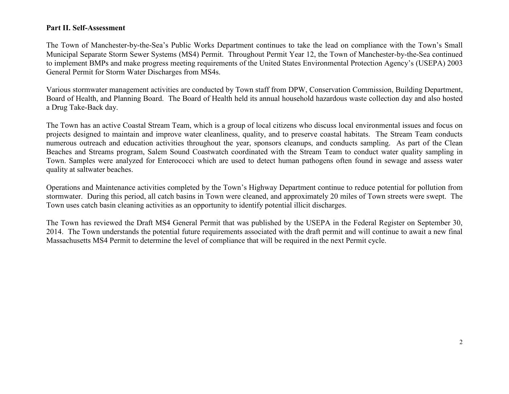#### **Part II. Self-Assessment**

The Town of Manchester-by-the-Sea's Public Works Department continues to take the lead on compliance with the Town's Small Municipal Separate Storm Sewer Systems (MS4) Permit. Throughout Permit Year 12, the Town of Manchester-by-the-Sea continued to implement BMPs and make progress meeting requirements of the United States Environmental Protection Agency's (USEPA) 2003 General Permit for Storm Water Discharges from MS4s.

Various stormwater management activities are conducted by Town staff from DPW, Conservation Commission, Building Department, Board of Health, and Planning Board. The Board of Health held its annual household hazardous waste collection day and also hosted a Drug Take-Back day.

The Town has an active Coastal Stream Team, which is a group of local citizens who discuss local environmental issues and focus on projects designed to maintain and improve water cleanliness, quality, and to preserve coastal habitats. The Stream Team conducts numerous outreach and education activities throughout the year, sponsors cleanups, and conducts sampling. As part of the Clean Beaches and Streams program, Salem Sound Coastwatch coordinated with the Stream Team to conduct water quality sampling in Town. Samples were analyzed for Enterococci which are used to detect human pathogens often found in sewage and assess water quality at saltwater beaches.

Operations and Maintenance activities completed by the Town's Highway Department continue to reduce potential for pollution from stormwater. During this period, all catch basins in Town were cleaned, and approximately 20 miles of Town streets were swept. The Town uses catch basin cleaning activities as an opportunity to identify potential illicit discharges.

The Town has reviewed the Draft MS4 General Permit that was published by the USEPA in the Federal Register on September 30, 2014. The Town understands the potential future requirements associated with the draft permit and will continue to await a new final Massachusetts MS4 Permit to determine the level of compliance that will be required in the next Permit cycle.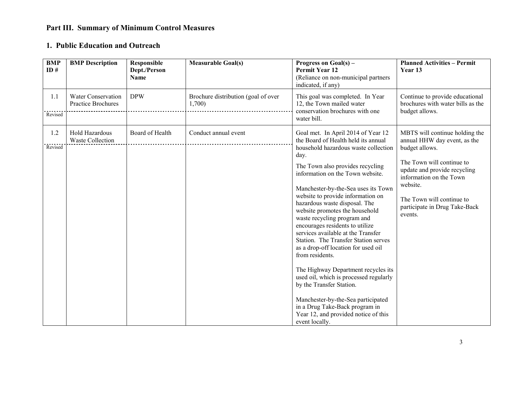## **Part III. Summary of Minimum Control Measures**

#### **1. Public Education and Outreach**

| <b>BMP</b><br>ID# | <b>BMP</b> Description                    | Responsible<br>Dept./Person<br><b>Name</b> | <b>Measurable Goal(s)</b>                     | Progress on Goal(s) –<br><b>Permit Year 12</b><br>(Reliance on non-municipal partners<br>indicated, if any)                                                                                                                                                                                                                                                                                                                                                                                                                                                                                                                                                                                                                                                                                               | <b>Planned Activities - Permit</b><br>Year 13                                                                                                                                                                                                                 |
|-------------------|-------------------------------------------|--------------------------------------------|-----------------------------------------------|-----------------------------------------------------------------------------------------------------------------------------------------------------------------------------------------------------------------------------------------------------------------------------------------------------------------------------------------------------------------------------------------------------------------------------------------------------------------------------------------------------------------------------------------------------------------------------------------------------------------------------------------------------------------------------------------------------------------------------------------------------------------------------------------------------------|---------------------------------------------------------------------------------------------------------------------------------------------------------------------------------------------------------------------------------------------------------------|
| 1.1<br>Revised    | Water Conservation<br>Practice Brochures  | <b>DPW</b>                                 | Brochure distribution (goal of over<br>1,700) | This goal was completed. In Year<br>12, the Town mailed water<br>conservation brochures with one<br>water bill.                                                                                                                                                                                                                                                                                                                                                                                                                                                                                                                                                                                                                                                                                           | Continue to provide educational<br>brochures with water bills as the<br>budget allows.                                                                                                                                                                        |
| 1.2<br>Revised    | Hold Hazardous<br><b>Waste Collection</b> | Board of Health                            | Conduct annual event                          | Goal met. In April 2014 of Year 12<br>the Board of Health held its annual<br>household hazardous waste collection<br>day.<br>The Town also provides recycling<br>information on the Town website.<br>Manchester-by-the-Sea uses its Town<br>website to provide information on<br>hazardous waste disposal. The<br>website promotes the household<br>waste recycling program and<br>encourages residents to utilize<br>services available at the Transfer<br>Station. The Transfer Station serves<br>as a drop-off location for used oil<br>from residents.<br>The Highway Department recycles its<br>used oil, which is processed regularly<br>by the Transfer Station.<br>Manchester-by-the-Sea participated<br>in a Drug Take-Back program in<br>Year 12, and provided notice of this<br>event locally. | MBTS will continue holding the<br>annual HHW day event, as the<br>budget allows.<br>The Town will continue to<br>update and provide recycling<br>information on the Town<br>website.<br>The Town will continue to<br>participate in Drug Take-Back<br>events. |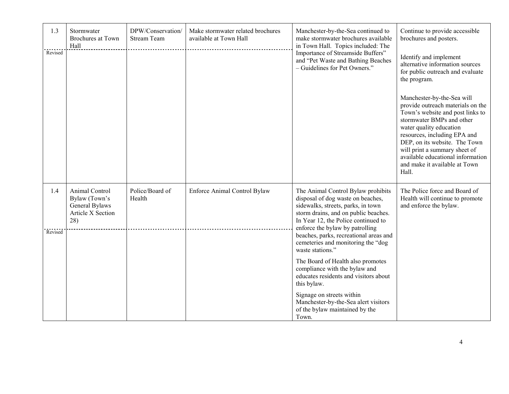| 1.3            | Stormwater<br><b>Brochures</b> at Town<br>Hall                                | DPW/Conservation/<br><b>Stream Team</b> | Make stormwater related brochures<br>available at Town Hall | Manchester-by-the-Sea continued to<br>make stormwater brochures available<br>in Town Hall. Topics included: The<br>Importance of Streamside Buffers"<br>and "Pet Waste and Bathing Beaches<br>- Guidelines for Pet Owners."                                                                                                         | Continue to provide accessible<br>brochures and posters.                                                                                                                                                                                                                                                                                     |
|----------------|-------------------------------------------------------------------------------|-----------------------------------------|-------------------------------------------------------------|-------------------------------------------------------------------------------------------------------------------------------------------------------------------------------------------------------------------------------------------------------------------------------------------------------------------------------------|----------------------------------------------------------------------------------------------------------------------------------------------------------------------------------------------------------------------------------------------------------------------------------------------------------------------------------------------|
| Revised        |                                                                               |                                         |                                                             |                                                                                                                                                                                                                                                                                                                                     | Identify and implement<br>alternative information sources<br>for public outreach and evaluate<br>the program.                                                                                                                                                                                                                                |
|                |                                                                               |                                         |                                                             |                                                                                                                                                                                                                                                                                                                                     | Manchester-by-the-Sea will<br>provide outreach materials on the<br>Town's website and post links to<br>stormwater BMPs and other<br>water quality education<br>resources, including EPA and<br>DEP, on its website. The Town<br>will print a summary sheet of<br>available educational information<br>and make it available at Town<br>Hall. |
| 1.4<br>Revised | Animal Control<br>Bylaw (Town's<br>General Bylaws<br>Article X Section<br>28) | Police/Board of<br>Health               | Enforce Animal Control Bylaw                                | The Animal Control Bylaw prohibits<br>disposal of dog waste on beaches,<br>sidewalks, streets, parks, in town<br>storm drains, and on public beaches.<br>In Year 12, the Police continued to<br>enforce the bylaw by patrolling<br>beaches, parks, recreational areas and<br>cemeteries and monitoring the "dog<br>waste stations." | The Police force and Board of<br>Health will continue to promote<br>and enforce the bylaw.                                                                                                                                                                                                                                                   |
|                |                                                                               |                                         |                                                             | The Board of Health also promotes<br>compliance with the bylaw and<br>educates residents and visitors about<br>this bylaw.                                                                                                                                                                                                          |                                                                                                                                                                                                                                                                                                                                              |
|                |                                                                               |                                         |                                                             | Signage on streets within<br>Manchester-by-the-Sea alert visitors<br>of the bylaw maintained by the<br>Town.                                                                                                                                                                                                                        |                                                                                                                                                                                                                                                                                                                                              |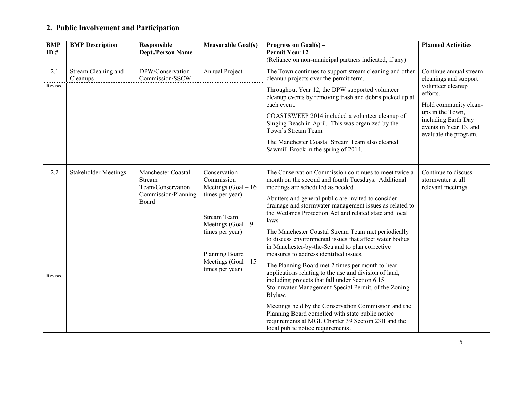## **2. Public Involvement and Participation**

| <b>BMP</b><br>ID# | <b>BMP</b> Description          | Responsible<br><b>Dept./Person Name</b>                                           | <b>Measurable Goal(s)</b>                                                                                                                                                                                | Progress on Goal(s) –<br><b>Permit Year 12</b><br>(Reliance on non-municipal partners indicated, if any)                                                                                                                                                                                                                                                                                                                                                                                                                                                                                                                                                                                                                                                                                                                                                                                                                                                                                          | <b>Planned Activities</b>                                                                                                                                                                               |
|-------------------|---------------------------------|-----------------------------------------------------------------------------------|----------------------------------------------------------------------------------------------------------------------------------------------------------------------------------------------------------|---------------------------------------------------------------------------------------------------------------------------------------------------------------------------------------------------------------------------------------------------------------------------------------------------------------------------------------------------------------------------------------------------------------------------------------------------------------------------------------------------------------------------------------------------------------------------------------------------------------------------------------------------------------------------------------------------------------------------------------------------------------------------------------------------------------------------------------------------------------------------------------------------------------------------------------------------------------------------------------------------|---------------------------------------------------------------------------------------------------------------------------------------------------------------------------------------------------------|
| 2.1<br>Revised    | Stream Cleaning and<br>Cleanups | DPW/Conservation<br>Commission/SSCW                                               | Annual Project                                                                                                                                                                                           | The Town continues to support stream cleaning and other<br>cleanup projects over the permit term.<br>Throughout Year 12, the DPW supported volunteer<br>cleanup events by removing trash and debris picked up at<br>each event.<br>COASTSWEEP 2014 included a volunteer cleanup of<br>Singing Beach in April. This was organized by the<br>Town's Stream Team.<br>The Manchester Coastal Stream Team also cleaned<br>Sawmill Brook in the spring of 2014.                                                                                                                                                                                                                                                                                                                                                                                                                                                                                                                                         | Continue annual stream<br>cleanings and support<br>volunteer cleanup<br>efforts.<br>Hold community clean-<br>ups in the Town,<br>including Earth Day<br>events in Year 13, and<br>evaluate the program. |
| 2.2<br>Revised    | <b>Stakeholder Meetings</b>     | Manchester Coastal<br>Stream<br>Team/Conservation<br>Commission/Planning<br>Board | Conservation<br>Commission<br>Meetings $(Goal - 16)$<br>times per year)<br><b>Stream Team</b><br>Meetings $(Goal - 9)$<br>times per year)<br>Planning Board<br>Meetings $(Goal - 15)$<br>times per year) | The Conservation Commission continues to meet twice a<br>month on the second and fourth Tuesdays. Additional<br>meetings are scheduled as needed.<br>Abutters and general public are invited to consider<br>drainage and stormwater management issues as related to<br>the Wetlands Protection Act and related state and local<br>laws.<br>The Manchester Coastal Stream Team met periodically<br>to discuss environmental issues that affect water bodies<br>in Manchester-by-the-Sea and to plan corrective<br>measures to address identified issues.<br>The Planning Board met 2 times per month to hear<br>applications relating to the use and division of land,<br>including projects that fall under Section 6.15<br>Stormwater Management Special Permit, of the Zoning<br>Blylaw.<br>Meetings held by the Conservation Commission and the<br>Planning Board complied with state public notice<br>requirements at MGL Chapter 39 Sectoin 23B and the<br>local public notice requirements. | Continue to discuss<br>stormwater at all<br>relevant meetings.                                                                                                                                          |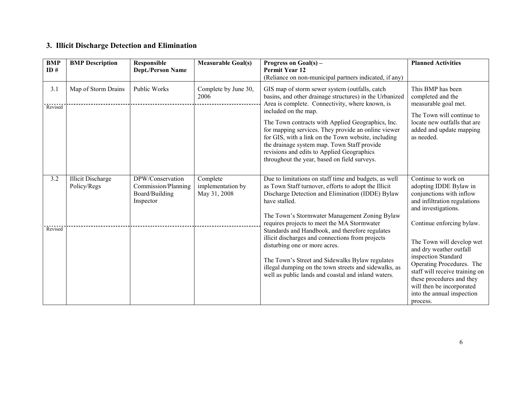### **3. Illicit Discharge Detection and Elimination**

| <b>BMP</b><br>ID $#$ | <b>BMP</b> Description                  | Responsible<br><b>Dept./Person Name</b>                                | <b>Measurable Goal(s)</b>                     | Progress on Goal(s) -<br><b>Permit Year 12</b><br>(Reliance on non-municipal partners indicated, if any)                                                                                                                                                                                                                                                                                                                                                                                             | <b>Planned Activities</b>                                                                                                                                                                                                                                                   |
|----------------------|-----------------------------------------|------------------------------------------------------------------------|-----------------------------------------------|------------------------------------------------------------------------------------------------------------------------------------------------------------------------------------------------------------------------------------------------------------------------------------------------------------------------------------------------------------------------------------------------------------------------------------------------------------------------------------------------------|-----------------------------------------------------------------------------------------------------------------------------------------------------------------------------------------------------------------------------------------------------------------------------|
| 3.1<br>Revised       | Map of Storm Drains                     | Public Works                                                           | Complete by June 30,<br>2006                  | GIS map of storm sewer system (outfalls, catch<br>basins, and other drainage structures) in the Urbanized<br>Area is complete. Connectivity, where known, is<br>included on the map.<br>The Town contracts with Applied Geographics, Inc.<br>for mapping services. They provide an online viewer<br>for GIS, with a link on the Town website, including<br>the drainage system map. Town Staff provide<br>revisions and edits to Applied Geographics<br>throughout the year, based on field surveys. | This BMP has been<br>completed and the<br>measurable goal met.<br>The Town will continue to<br>locate new outfalls that are<br>added and update mapping<br>as needed.                                                                                                       |
| 3.2                  | <b>Illicit Discharge</b><br>Policy/Regs | DPW/Conservation<br>Commission/Planning<br>Board/Building<br>Inspector | Complete<br>implementation by<br>May 31, 2008 | Due to limitations on staff time and budgets, as well<br>as Town Staff turnover, efforts to adopt the Illicit<br>Discharge Detection and Elimination (IDDE) Bylaw<br>have stalled.<br>The Town's Stormwater Management Zoning Bylaw                                                                                                                                                                                                                                                                  | Continue to work on<br>adopting IDDE Bylaw in<br>conjunctions with inflow<br>and infiltration regulations<br>and investigations.                                                                                                                                            |
| Revised              |                                         |                                                                        |                                               | requires projects to meet the MA Stormwater<br>Standards and Handbook, and therefore regulates<br>illicit discharges and connections from projects<br>disturbing one or more acres.<br>The Town's Street and Sidewalks Bylaw regulates<br>illegal dumping on the town streets and sidewalks, as<br>well as public lands and coastal and inland waters.                                                                                                                                               | Continue enforcing bylaw.<br>The Town will develop wet<br>and dry weather outfall<br>inspection Standard<br>Operating Procedures. The<br>staff will receive training on<br>these procedures and they<br>will then be incorporated<br>into the annual inspection<br>process. |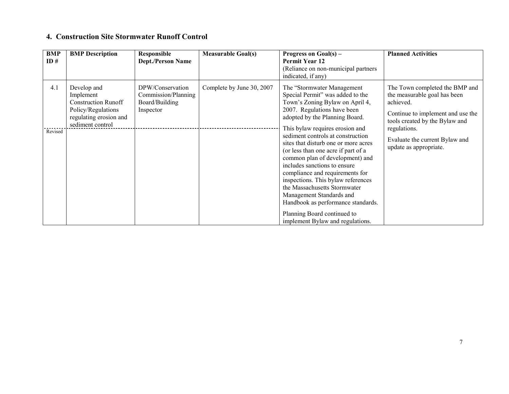#### **4. Construction Site Stormwater Runoff Control**

| <b>BMP</b><br>ID# | <b>BMP</b> Description                                                                                                     | <b>Responsible</b><br><b>Dept./Person Name</b>                         | <b>Measurable Goal(s)</b> | Progress on Goal(s) –<br><b>Permit Year 12</b><br>(Reliance on non-municipal partners<br>indicated, if any)                                                                                                                                                                                                                                                                                                                                                                                                                                                                                                                                 | <b>Planned Activities</b>                                                                                                                                                                                                      |
|-------------------|----------------------------------------------------------------------------------------------------------------------------|------------------------------------------------------------------------|---------------------------|---------------------------------------------------------------------------------------------------------------------------------------------------------------------------------------------------------------------------------------------------------------------------------------------------------------------------------------------------------------------------------------------------------------------------------------------------------------------------------------------------------------------------------------------------------------------------------------------------------------------------------------------|--------------------------------------------------------------------------------------------------------------------------------------------------------------------------------------------------------------------------------|
| 4.1<br>Revised    | Develop and<br>Implement<br><b>Construction Runoff</b><br>Policy/Regulations<br>regulating erosion and<br>sediment control | DPW/Conservation<br>Commission/Planning<br>Board/Building<br>Inspector | Complete by June 30, 2007 | The "Stormwater Management"<br>Special Permit" was added to the<br>Town's Zoning Bylaw on April 4,<br>2007. Regulations have been<br>adopted by the Planning Board.<br>This bylaw requires erosion and<br>sediment controls at construction<br>sites that disturb one or more acres<br>(or less than one acre if part of a<br>common plan of development) and<br>includes sanctions to ensure<br>compliance and requirements for<br>inspections. This bylaw references<br>the Massachusetts Stormwater<br>Management Standards and<br>Handbook as performance standards.<br>Planning Board continued to<br>implement Bylaw and regulations. | The Town completed the BMP and<br>the measurable goal has been<br>achieved.<br>Continue to implement and use the<br>tools created by the Bylaw and<br>regulations.<br>Evaluate the current Bylaw and<br>update as appropriate. |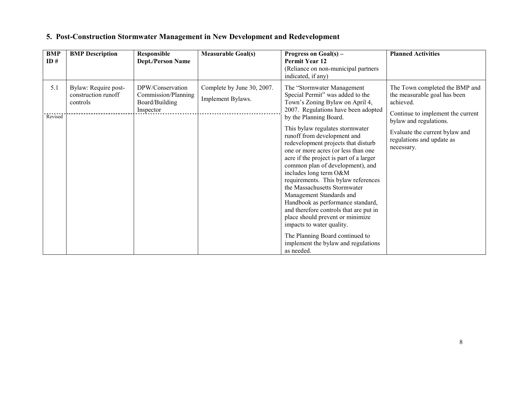| <b>BMP</b><br>ID# | <b>BMP</b> Description                                  | <b>Responsible</b><br><b>Dept./Person Name</b>                         | <b>Measurable Goal(s)</b>                       | Progress on Goal(s) -<br><b>Permit Year 12</b><br>(Reliance on non-municipal partners<br>indicated, if any)                                                                                                                                                                                                                                                                                                                                                                                                                                                                                                                                                                     | <b>Planned Activities</b>                                                                                                                                                                                               |
|-------------------|---------------------------------------------------------|------------------------------------------------------------------------|-------------------------------------------------|---------------------------------------------------------------------------------------------------------------------------------------------------------------------------------------------------------------------------------------------------------------------------------------------------------------------------------------------------------------------------------------------------------------------------------------------------------------------------------------------------------------------------------------------------------------------------------------------------------------------------------------------------------------------------------|-------------------------------------------------------------------------------------------------------------------------------------------------------------------------------------------------------------------------|
| 5.1<br>Revised    | Bylaw: Require post-<br>construction runoff<br>controls | DPW/Conservation<br>Commission/Planning<br>Board/Building<br>Inspector | Complete by June 30, 2007.<br>Implement Bylaws. | The "Stormwater Management"<br>Special Permit" was added to the<br>Town's Zoning Bylaw on April 4,<br>2007. Regulations have been adopted<br>by the Planning Board.<br>This bylaw regulates stormwater<br>runoff from development and<br>redevelopment projects that disturb<br>one or more acres (or less than one<br>acre if the project is part of a larger<br>common plan of development), and<br>includes long term O&M<br>requirements. This bylaw references<br>the Massachusetts Stormwater<br>Management Standards and<br>Handbook as performance standard,<br>and therefore controls that are put in<br>place should prevent or minimize<br>impacts to water quality. | The Town completed the BMP and<br>the measurable goal has been<br>achieved.<br>Continue to implement the current<br>bylaw and regulations.<br>Evaluate the current bylaw and<br>regulations and update as<br>necessary. |
|                   |                                                         |                                                                        |                                                 | The Planning Board continued to<br>implement the bylaw and regulations<br>as needed.                                                                                                                                                                                                                                                                                                                                                                                                                                                                                                                                                                                            |                                                                                                                                                                                                                         |

### **5. Post-Construction Stormwater Management in New Development and Redevelopment**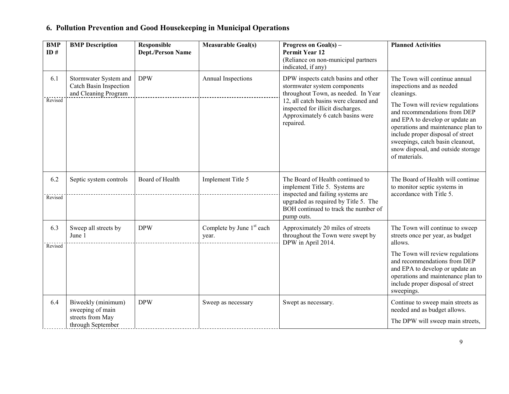| <b>BMP</b><br>ID# | <b>BMP</b> Description                                                          | Responsible<br><b>Dept./Person Name</b> | <b>Measurable Goal(s)</b>            | Progress on $Goal(s)$ –<br><b>Permit Year 12</b><br>(Reliance on non-municipal partners<br>indicated, if any)                                                                                                                              | <b>Planned Activities</b>                                                                                                                                                                                                                                                                                                                             |
|-------------------|---------------------------------------------------------------------------------|-----------------------------------------|--------------------------------------|--------------------------------------------------------------------------------------------------------------------------------------------------------------------------------------------------------------------------------------------|-------------------------------------------------------------------------------------------------------------------------------------------------------------------------------------------------------------------------------------------------------------------------------------------------------------------------------------------------------|
| 6.1<br>Revised    | Stormwater System and<br><b>Catch Basin Inspection</b><br>and Cleaning Program  | <b>DPW</b>                              | Annual Inspections                   | DPW inspects catch basins and other<br>stormwater system components<br>throughout Town, as needed. In Year<br>12, all catch basins were cleaned and<br>inspected for illicit discharges.<br>Approximately 6 catch basins were<br>repaired. | The Town will continue annual<br>inspections and as needed<br>cleanings.<br>The Town will review regulations<br>and recommendations from DEP<br>and EPA to develop or update an<br>operations and maintenance plan to<br>include proper disposal of street<br>sweepings, catch basin cleanout,<br>snow disposal, and outside storage<br>of materials. |
| 6.2<br>Revised    | Septic system controls                                                          | Board of Health                         | Implement Title 5                    | The Board of Health continued to<br>implement Title 5. Systems are<br>inspected and failing systems are<br>upgraded as required by Title 5. The<br>BOH continued to track the number of<br>pump outs.                                      | The Board of Health will continue<br>to monitor septic systems in<br>accordance with Title 5.                                                                                                                                                                                                                                                         |
| 6.3<br>Revised    | Sweep all streets by<br>June 1                                                  | <b>DPW</b>                              | Complete by June $1st$ each<br>year. | Approximately 20 miles of streets<br>throughout the Town were swept by<br>DPW in April 2014.                                                                                                                                               | The Town will continue to sweep<br>streets once per year, as budget<br>allows.<br>The Town will review regulations<br>and recommendations from DEP<br>and EPA to develop or update an<br>operations and maintenance plan to<br>include proper disposal of street<br>sweepings.                                                                        |
| 6.4               | Biweekly (minimum)<br>sweeping of main<br>streets from May<br>through September | <b>DPW</b>                              | Sweep as necessary                   | Swept as necessary.                                                                                                                                                                                                                        | Continue to sweep main streets as<br>needed and as budget allows.<br>The DPW will sweep main streets,                                                                                                                                                                                                                                                 |

## **6. Pollution Prevention and Good Housekeeping in Municipal Operations**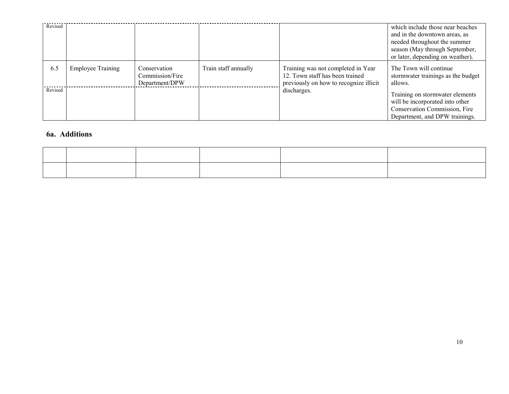| Revised |                          |                                                   |                      |                                                                                                                 | which include those near beaches<br>and in the downtown areas, as<br>needed throughout the summer<br>season (May through September,<br>or later, depending on weather). |
|---------|--------------------------|---------------------------------------------------|----------------------|-----------------------------------------------------------------------------------------------------------------|-------------------------------------------------------------------------------------------------------------------------------------------------------------------------|
| 6.5     | <b>Employee Training</b> | Conservation<br>Commission/Fire<br>Department/DPW | Train staff annually | Training was not completed in Year<br>12. Town staff has been trained<br>previously on how to recognize illicit | The Town will continue<br>stormwater trainings as the budget<br>allows.                                                                                                 |
| Revised |                          |                                                   |                      | discharges.                                                                                                     | Training on stormwater elements<br>will be incorporated into other<br>Conservation Commission, Fire<br>Department, and DPW trainings.                                   |

#### **6a. Additions**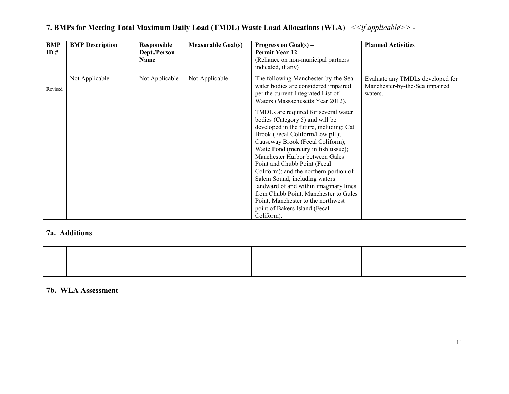| <b>BMP</b><br>ID# | <b>BMP</b> Description | Responsible<br>Dept./Person<br>Name | <b>Measurable Goal(s)</b> | Progress on $Goal(s) -$<br><b>Permit Year 12</b><br>(Reliance on non-municipal partners<br>indicated, if any)                                                                                                                                                                                                                                                                                                                                                                                                                                                                                                                                                                                      | <b>Planned Activities</b>                                                     |
|-------------------|------------------------|-------------------------------------|---------------------------|----------------------------------------------------------------------------------------------------------------------------------------------------------------------------------------------------------------------------------------------------------------------------------------------------------------------------------------------------------------------------------------------------------------------------------------------------------------------------------------------------------------------------------------------------------------------------------------------------------------------------------------------------------------------------------------------------|-------------------------------------------------------------------------------|
| Revised           | Not Applicable         | Not Applicable                      | Not Applicable            | The following Manchester-by-the-Sea<br>water bodies are considered impaired<br>per the current Integrated List of<br>Waters (Massachusetts Year 2012).<br>TMDLs are required for several water<br>bodies (Category 5) and will be<br>developed in the future, including: Cat<br>Brook (Fecal Coliform/Low pH);<br>Causeway Brook (Fecal Coliform);<br>Waite Pond (mercury in fish tissue);<br>Manchester Harbor between Gales<br>Point and Chubb Point (Fecal<br>Coliform); and the northern portion of<br>Salem Sound, including waters<br>landward of and within imaginary lines<br>from Chubb Point, Manchester to Gales<br>Point, Manchester to the northwest<br>point of Bakers Island (Fecal | Evaluate any TMDLs developed for<br>Manchester-by-the-Sea impaired<br>waters. |
|                   |                        |                                     |                           | Coliform).                                                                                                                                                                                                                                                                                                                                                                                                                                                                                                                                                                                                                                                                                         |                                                                               |

#### **7. BMPs for Meeting Total Maximum Daily Load (TMDL) Waste Load Allocations (WLA**) *<<if applicable>>*

#### **7a. Additions**

#### **7b. WLA Assessment**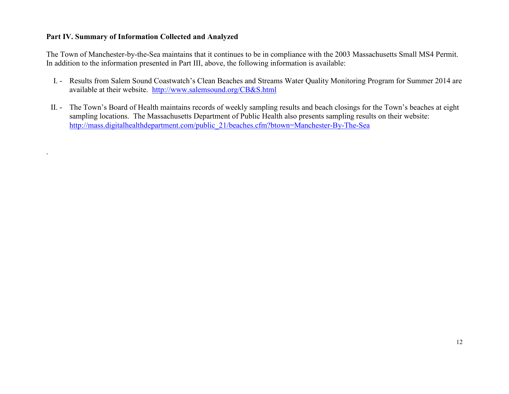#### **Part IV. Summary of Information Collected and Analyzed**

.

The Town of Manchester-by-the-Sea maintains that it continues to be in compliance with the 2003 Massachusetts Small MS4 Permit. In addition to the information presented in Part III, above, the following information is available:

- I. Results from Salem Sound Coastwatch's Clean Beaches and Streams Water Quality Monitoring Program for Summer 2014 are available at their website. http://www.salemsound.org/CB&S.html
- II. The Town's Board of Health maintains records of weekly sampling results and beach closings for the Town's beaches at eight sampling locations. The Massachusetts Department of Public Health also presents sampling results on their website: http://mass.digitalhealthdepartment.com/public\_21/beaches.cfm?btown=Manchester-By-The-Sea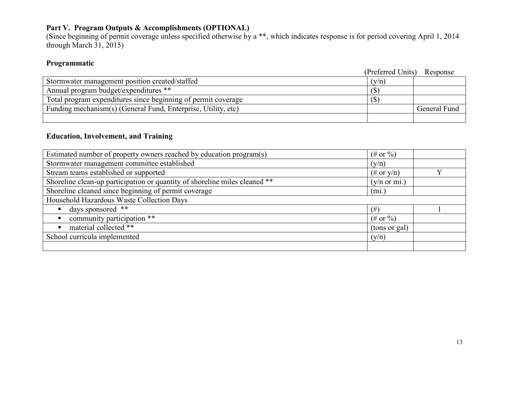### **Part V. Program Outputs & Accomplishments (OPTIONAL)**

(Since beginning of permit coverage unless specified otherwise by a \*\*, which indicates response is for period covering April 1, 2014 through March 31, 2015)

### **Programmatic**

|                                                               | (Preferred Units) Response |              |
|---------------------------------------------------------------|----------------------------|--------------|
| Stormwater management position created/staffed                | (y/n)                      |              |
| Annual program budget/expenditures **                         | (S)                        |              |
| Total program expenditures since beginning of permit coverage | I D                        |              |
| Funding mechanism(s) (General Fund, Enterprise, Utility, etc) |                            | General Fund |
|                                                               |                            |              |

#### **Education, Involvement, and Training**

| Estimated number of property owners reached by education program(s)        | $(\# \text{ or } \% )$  |  |
|----------------------------------------------------------------------------|-------------------------|--|
| Stormwater management committee established                                | (y/n)                   |  |
| Stream teams established or supported                                      | $(\# \text{ or } y/n)$  |  |
| Shoreline clean-up participation or quantity of shoreline miles cleaned ** | $(y/n \text{ or } mi.)$ |  |
| Shoreline cleaned since beginning of permit coverage                       | (mi)                    |  |
| Household Hazardous Waste Collection Days                                  |                         |  |
| days sponsored **                                                          | (# )                    |  |
| community participation **                                                 | $(\# \text{ or } \%)$   |  |
| material collected **                                                      | (tons or gal)           |  |
| School curricula implemented                                               | (y/n)                   |  |
|                                                                            |                         |  |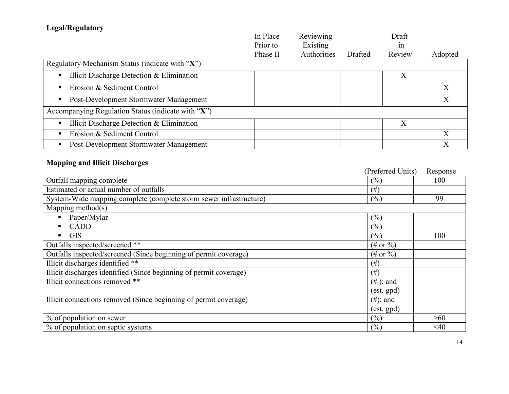## **Legal/Regulatory**

|                                                    | In Place | Reviewing   |         | Draft  |         |
|----------------------------------------------------|----------|-------------|---------|--------|---------|
|                                                    | Prior to | Existing    |         | 1n     |         |
|                                                    | Phase II | Authorities | Drafted | Review | Adopted |
| Regulatory Mechanism Status (indicate with "X")    |          |             |         |        |         |
| Illicit Discharge Detection & Elimination          |          |             |         | Χ      |         |
| Erosion & Sediment Control                         |          |             |         |        |         |
| Post-Development Stormwater Management             |          |             |         |        | Х       |
| Accompanying Regulation Status (indicate with "X") |          |             |         |        |         |
| Illicit Discharge Detection & Elimination          |          |             |         | X      |         |
| Erosion & Sediment Control                         |          |             |         |        |         |
| Post-Development Stormwater Management             |          |             |         |        |         |

## **Mapping and Illicit Discharges**

|                                                                    | (Preferred Units)      | Response |
|--------------------------------------------------------------------|------------------------|----------|
| Outfall mapping complete                                           | (%)                    | 100      |
| Estimated or actual number of outfalls                             | (# )                   |          |
| System-Wide mapping complete (complete storm sewer infrastructure) | (%)                    | 99       |
| Mapping method $(s)$                                               |                        |          |
| Paper/Mylar                                                        | (%)                    |          |
| <b>CADD</b><br>$\blacksquare$                                      | (%)                    |          |
| <b>GIS</b>                                                         | (%)                    | 100      |
| Outfalls inspected/screened **                                     | $(\# \text{ or } \% )$ |          |
| Outfalls inspected/screened (Since beginning of permit coverage)   | $(\# \text{ or } \% )$ |          |
| Illicit discharges identified **                                   | $(\#)$                 |          |
| Illicit discharges identified (Since beginning of permit coverage) | $(\#)$                 |          |
| Illicit connections removed **                                     | $(\# )$ ; and          |          |
|                                                                    | $(est.$ gpd $)$        |          |
| Illicit connections removed (Since beginning of permit coverage)   | $(\#);$ and            |          |
|                                                                    | $(est.$ gpd $)$        |          |
| % of population on sewer                                           | $(\%)$                 | >60      |
| % of population on septic systems                                  | $(\%)$                 | $<$ 40   |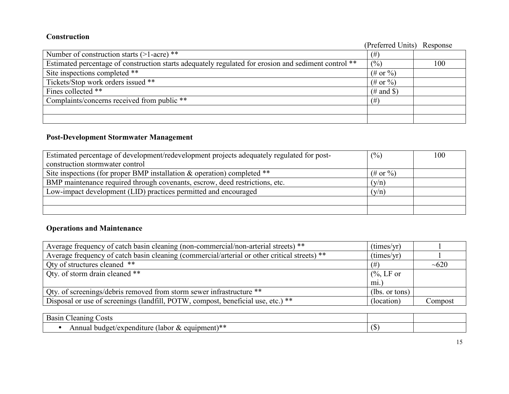#### **Construction**

| Сонэн асион                                                                                          | (Preferred Units) Response |     |
|------------------------------------------------------------------------------------------------------|----------------------------|-----|
| Number of construction starts $(>1$ -acre) **                                                        | (# )                       |     |
| Estimated percentage of construction starts adequately regulated for erosion and sediment control ** | (%)                        | 100 |
| Site inspections completed **                                                                        | $(\# \text{ or } \% )$     |     |
| Tickets/Stop work orders issued **                                                                   | $(\# \text{ or } \% )$     |     |
| Fines collected **                                                                                   | $(\#$ and \$)              |     |
| Complaints/concerns received from public **                                                          | (# )                       |     |
|                                                                                                      |                            |     |
|                                                                                                      |                            |     |

### **Post-Development Stormwater Management**

| Estimated percentage of development/redevelopment projects adequately regulated for post- | (%)                    | 100 |
|-------------------------------------------------------------------------------------------|------------------------|-----|
| construction stormwater control                                                           |                        |     |
| Site inspections (for proper BMP installation $\&$ operation) completed **                | $(\# \text{ or } \% )$ |     |
| BMP maintenance required through covenants, escrow, deed restrictions, etc.               | (y/n)                  |     |
| Low-impact development (LID) practices permitted and encouraged                           | (y/n)                  |     |
|                                                                                           |                        |     |
|                                                                                           |                        |     |

### **Operations and Maintenance**

| Average frequency of catch basin cleaning (non-commercial/non-arterial streets) **           | (imes/yr)             |            |
|----------------------------------------------------------------------------------------------|-----------------------|------------|
| Average frequency of catch basin cleaning (commercial/arterial or other critical streets) ** | (imes/yr)             |            |
| Qty of structures cleaned **                                                                 | $(\#$                 | $\sim 620$ |
| Qty. of storm drain cleaned **                                                               | $\frac{6}{6}$ , LF or |            |
|                                                                                              | mi.)                  |            |
| Qty. of screenings/debris removed from storm sewer infrastructure **                         | (lbs. or tons)        |            |
| Disposal or use of screenings (landfill, POTW, compost, beneficial use, etc.) **             | (location)            | Compost    |

| $\sqrt{ }$<br>$\Delta$ 31110<br>osts<br>Basır<br>и                                   |                 |  |
|--------------------------------------------------------------------------------------|-----------------|--|
| .<br>ıture<br>nond⊤<br>Tabor<br>$\Delta \mathbf{v}$<br>hī.<br>ndoet :<br>ലവ<br>чнени | $\sqrt{2}$<br>. |  |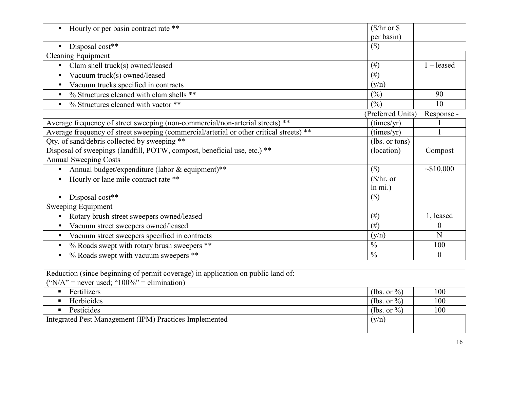| Hourly or per basin contract rate **                                                    | $(\frac{5}{hr}$ or $\frac{6}{5}$ |                  |
|-----------------------------------------------------------------------------------------|----------------------------------|------------------|
|                                                                                         | per basin)                       |                  |
| Disposal cost**<br>$\bullet$                                                            | $(\$\)$                          |                  |
| <b>Cleaning Equipment</b>                                                               |                                  |                  |
| Clam shell truck(s) owned/leased<br>$\bullet$                                           | $(\#)$                           | $1 -$ leased     |
| Vacuum truck(s) owned/leased<br>$\bullet$                                               | (# )                             |                  |
| Vacuum trucks specified in contracts<br>$\bullet$                                       | (y/n)                            |                  |
| % Structures cleaned with clam shells **<br>$\bullet$                                   | (%)                              | 90               |
| % Structures cleaned with vactor **<br>$\bullet$                                        | (%)                              | 10               |
|                                                                                         | (Preferred Units)                | Response -       |
| Average frequency of street sweeping (non-commercial/non-arterial streets) **           | (times/yr)                       |                  |
| Average frequency of street sweeping (commercial/arterial or other critical streets) ** | (times/yr)                       |                  |
| Qty. of sand/debris collected by sweeping **                                            | (lbs. or tons)                   |                  |
| Disposal of sweepings (landfill, POTW, compost, beneficial use, etc.) **                | (location)                       | Compost          |
| <b>Annual Sweeping Costs</b>                                                            |                                  |                  |
| Annual budget/expenditure (labor & equipment)**                                         | $($)$                            | ~10,000          |
| Hourly or lane mile contract rate **                                                    | $(\frac{1}{2})$ hr. or           |                  |
|                                                                                         | $ln \text{ mi.}$ )               |                  |
| Disposal cost**                                                                         | $(\$)$                           |                  |
| Sweeping Equipment                                                                      |                                  |                  |
| Rotary brush street sweepers owned/leased                                               | $(\#)$                           | 1, leased        |
| Vacuum street sweepers owned/leased                                                     | $(\#)$                           | $\boldsymbol{0}$ |
| Vacuum street sweepers specified in contracts                                           | (y/n)                            | N                |
| % Roads swept with rotary brush sweepers **                                             | $\frac{0}{0}$                    | 100              |
| % Roads swept with vacuum sweepers **                                                   | $\frac{0}{0}$                    | $\mathbf{0}$     |

| Reduction (since beginning of permit coverage) in application on public land of:<br>("N/A" = never used; " $100\%$ " = elimination) |                 |     |
|-------------------------------------------------------------------------------------------------------------------------------------|-----------------|-----|
| Fertilizers                                                                                                                         | (lbs. or $\%$ ) | 100 |
| Herbicides                                                                                                                          | (lbs. or $\%$ ) | 100 |
| Pesticides                                                                                                                          | (lbs. or $\%$ ) | 100 |
| Integrated Pest Management (IPM) Practices Implemented                                                                              |                 |     |
|                                                                                                                                     |                 |     |